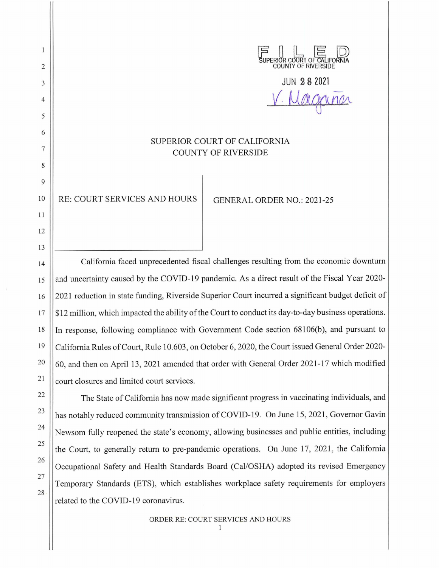JPERIOR COURT OF CALIFORI COUNTY OF RIVERSIDE

JUN **2 8 <sup>2021</sup>**

V. Margania

## SUPERIOR COURT OF CALIFORNIA COUNTY OF RIVERSIDE

10 || RE: COURT SERVICES AND HOURS | GENERAL ORDER NO.: 2021-25

California faced unprecedented fiscal challenges resulting from the economic downturn and uncertainty caused by the COVID-19 pandemic. As a direct result of the Fiscal Year 2020- 2021 reduction in state funding, Riverside Superior Court incurred a significant budget deficit of \$12 million, which impacted the ability of the Court to conduct its day-to-day business operations. In response, following compliance with Government Code section 68106(b), and pursuant to California Rules of Court, Rule 10.603, on October 6, 2020, the Court issued General Order 2020- 60, and then on April 13, 2021 amended that order with General Order 2021-17 which modified court closures and limited court services.

The State of California has now made significant progress in vaccinating individuals, and has notably reduced community transmission of COVID-19. On June 15, 2021, Governor Gavin Newsom fully reopened the state's economy, allowing businesses and public entities, including the Court, to generally return to pre-pandemic operations. On June 17, 2021, the California Occupational Safety and Health Standards Board (Cal/OSHA) adopted its revised Emergency Temporary Standards (ETS), which establishes workplace safety requirements for employers related to the COVID-19 coronavirus.

2

 $\mathbf{1}$